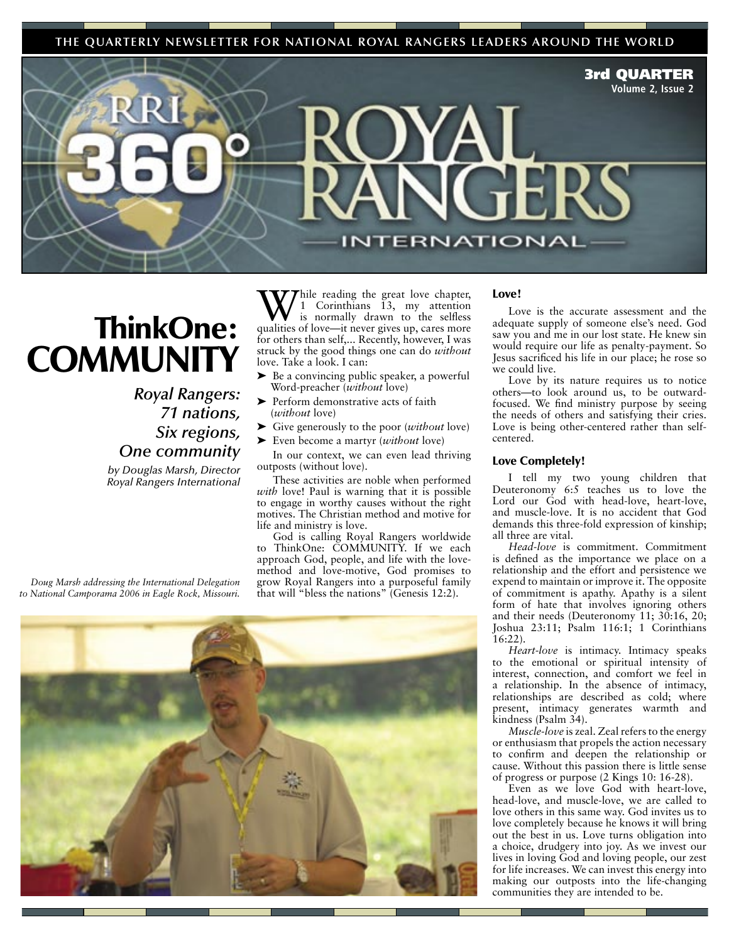**THE QUARTERLY NEWSLETTER FOR NATIONAL ROYAL RANGERS LEADERS AROUND THE WORLD**

3rd QUARTER

**Volume 2, Issue 2**

## ThinkOne: **COMMUNITY**

## *Royal Rangers: 71 nations, Six regions, One community*

*by Douglas Marsh, Director Royal Rangers International*

While reading the great love chapter,<br>is normally drawn to the selfless<br>qualities of love, it never gives up gave more 1 Corinthians 13, my attention is normally drawn to the selfless qualities of love—it never gives up, cares more for others than self,... Recently, however, I was struck by the good things one can do *without* love. Take a look. I can:

L. п

- ➤ Be a convincing public speaker, a powerful Word-preacher (*without* love)
- ➤ Perform demonstrative acts of faith (*without* love)
- ➤ Give generously to the poor (*without* love)
- ➤ Even become a martyr (*without* love)

In our context, we can even lead thriving outposts (without love).

These activities are noble when performed *with* love! Paul is warning that it is possible to engage in worthy causes without the right motives. The Christian method and motive for life and ministry is love.

God is calling Royal Rangers worldwide to ThinkOne: COMMUNITY. If we each approach God, people, and life with the lovemethod and love-motive, God promises to grow Royal Rangers into a purposeful family that will "bless the nations" (Genesis 12:2).



## Love!

**ERNATIONAL** 

Love is the accurate assessment and the adequate supply of someone else's need. God saw you and me in our lost state. He knew sin would require our life as penalty-payment. So Jesus sacrificed his life in our place; he rose so we could live.

Love by its nature requires us to notice others—to look around us, to be outwardfocused. We find ministry purpose by seeing the needs of others and satisfying their cries. Love is being other-centered rather than selfcentered.

## Love Completely!

I tell my two young children that Deuteronomy 6:5 teaches us to love the Lord our God with head-love, heart-love, and muscle-love. It is no accident that God demands this three-fold expression of kinship; all three are vital.

*Head-love* is commitment. Commitment is defined as the importance we place on a relationship and the effort and persistence we expend to maintain or improve it. The opposite of commitment is apathy. Apathy is a silent form of hate that involves ignoring others and their needs (Deuteronomy 11; 30:16, 20; Joshua 23:11; Psalm 116:1; 1 Corinthians 16:22).

*Heart-love* is intimacy. Intimacy speaks to the emotional or spiritual intensity of interest, connection, and comfort we feel in a relationship. In the absence of intimacy, relationships are described as cold; where present, intimacy generates warmth and kindness (Psalm 34).

*Muscle-love* is zeal. Zeal refers to the energy or enthusiasm that propels the action necessary to confirm and deepen the relationship or cause. Without this passion there is little sense of progress or purpose (2 Kings 10: 16-28).

Even as we love God with heart-love, head-love, and muscle-love, we are called to love others in this same way. God invites us to love completely because he knows it will bring out the best in us. Love turns obligation into a choice, drudgery into joy. As we invest our lives in loving God and loving people, our zest for life increases. We can invest this energy into making our outposts into the life-changing communities they are intended to be.

*Doug Marsh addressing the International Delegation to National Camporama 2006 in Eagle Rock, Missouri.*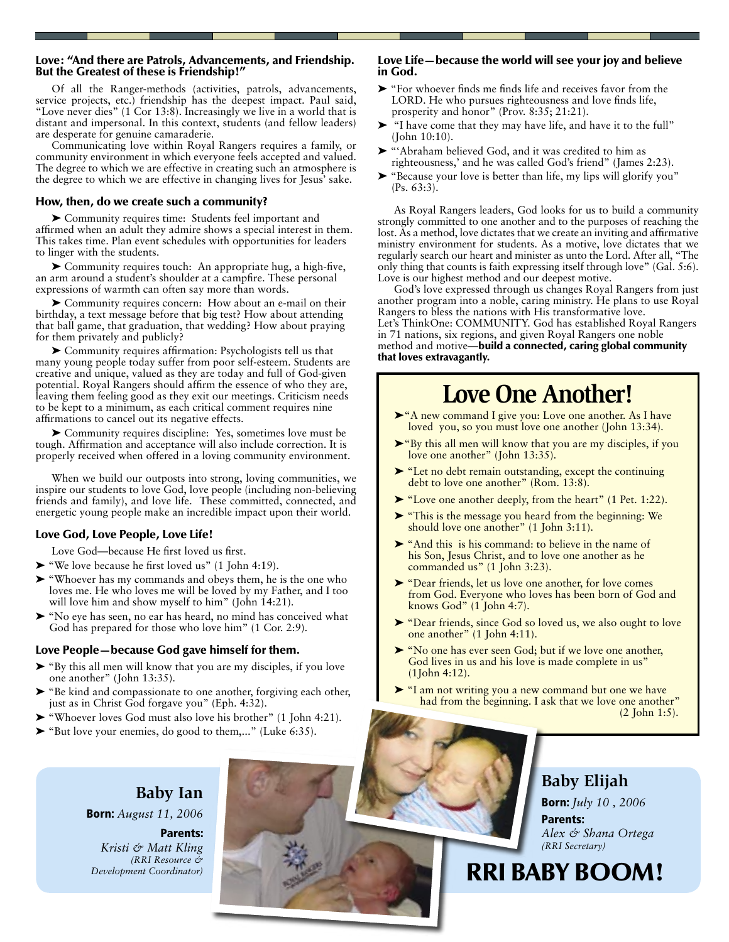#### Love: "And there are Patrols, Advancements, and Friendship. But the Greatest of these is Friendship!"

Of all the Ranger-methods (activities, patrols, advancements, service projects, etc.) friendship has the deepest impact. Paul said, "Love never dies" (1 Cor 13:8). Increasingly we live in a world that is distant and impersonal. In this context, students (and fellow leaders) are desperate for genuine camaraderie.

Communicating love within Royal Rangers requires a family, or community environment in which everyone feels accepted and valued. The degree to which we are effective in creating such an atmosphere is the degree to which we are effective in changing lives for Jesus' sake.

## How, then, do we create such a community?

➤ Community requires time: Students feel important and affirmed when an adult they admire shows a special interest in them. This takes time. Plan event schedules with opportunities for leaders to linger with the students.

➤ Community requires touch: An appropriate hug, a high-five, an arm around a student's shoulder at a campfire. These personal expressions of warmth can often say more than words.

➤ Community requires concern: How about an e-mail on their birthday, a text message before that big test? How about attending that ball game, that graduation, that wedding? How about praying for them privately and publicly?

➤ Community requires affirmation: Psychologists tell us that many young people today suffer from poor self-esteem. Students are creative and unique, valued as they are today and full of God-given potential. Royal Rangers should affirm the essence of who they are, leaving them feeling good as they exit our meetings. Criticism needs to be kept to a minimum, as each critical comment requires nine affirmations to cancel out its negative effects.

➤ Community requires discipline: Yes, sometimes love must be tough. Affirmation and acceptance will also include correction. It is properly received when offered in a loving community environment.

When we build our outposts into strong, loving communities, we inspire our students to love God, love people (including non-believing friends and family), and love life. These committed, connected, and energetic young people make an incredible impact upon their world.

## Love God, Love People, Love Life!

Love God—because He first loved us first.

- ➤ "We love because he first loved us" (1 John 4:19).
- ➤ "Whoever has my commands and obeys them, he is the one who loves me. He who loves me will be loved by my Father, and I too will love him and show myself to him" (John 14:21).
- ➤ "No eye has seen, no ear has heard, no mind has conceived what God has prepared for those who love him" (1 Cor. 2:9).

## Love People—because God gave himself for them.

- ➤ "By this all men will know that you are my disciples, if you love one another" (John 13:35).
- ➤ "Be kind and compassionate to one another, forgiving each other, just as in Christ God forgave you" (Eph. 4:32).
- ➤ "Whoever loves God must also love his brother" (1 John 4:21).
- ➤ "But love your enemies, do good to them,..." (Luke 6:35).

## Love Life—because the world will see your joy and believe in God.

- ➤ "For whoever finds me finds life and receives favor from the LORD. He who pursues righteousness and love finds life, prosperity and honor" (Prov. 8:35; 21:21).
- ➤ "I have come that they may have life, and have it to the full" (John 10:10).
- ➤ "'Abraham believed God, and it was credited to him as righteousness,' and he was called God's friend" (James 2:23).
- ➤ "Because your love is better than life, my lips will glorify you" (Ps. 63:3).

As Royal Rangers leaders, God looks for us to build a community strongly committed to one another and to the purposes of reaching the lost. As a method, love dictates that we create an inviting and affirmative ministry environment for students. As a motive, love dictates that we regularly search our heart and minister as unto the Lord. After all, "The only thing that counts is faith expressing itself through love" (Gal. 5:6). Love is our highest method and our deepest motive.

God's love expressed through us changes Royal Rangers from just another program into a noble, caring ministry. He plans to use Royal Rangers to bless the nations with His transformative love. Let's ThinkOne: COMMUNITY. God has established Royal Rangers in 71 nations, six regions, and given Royal Rangers one noble method and motive—build a connected, caring global community that loves extravagantly.

## **Love One Another!**

- ➤"A new command I give you: Love one another. As I have loved you, so you must love one another (John 13:34).
- ➤"By this all men will know that you are my disciples, if you love one another" (John 13:35).
- ➤ "Let no debt remain outstanding, except the continuing debt to love one another" (Rom. 13:8).
- ➤ "Love one another deeply, from the heart" (1 Pet. 1:22).
- ➤ "This is the message you heard from the beginning: We should love one another" (1 John 3:11).
- ➤ "And this is his command: to believe in the name of his Son, Jesus Christ, and to love one another as he commanded us" (1 John 3:23).
- ➤ "Dear friends, let us love one another, for love comes from God. Everyone who loves has been born of God and knows God" (1 John 4:7).
- ➤ "Dear friends, since God so loved us, we also ought to love one another" (1 John 4:11).
- ➤ "No one has ever seen God; but if we love one another, God lives in us and his love is made complete in us" (1John 4:12).
- ► "I am not writing you a new command but one we have had from the beginning. I ask that we love one another" (2 John 1:5).

**Baby Ian** Born: *August 11, 2006*

Parents: *Kristi & Matt Kling (RRI Resource & Development Coordinator)*

**Baby Elijah** Born: *July 10 , 2006* Parents: *Alex & Shana Ortega (RRI Secretary)*

RRI BABY BOOM!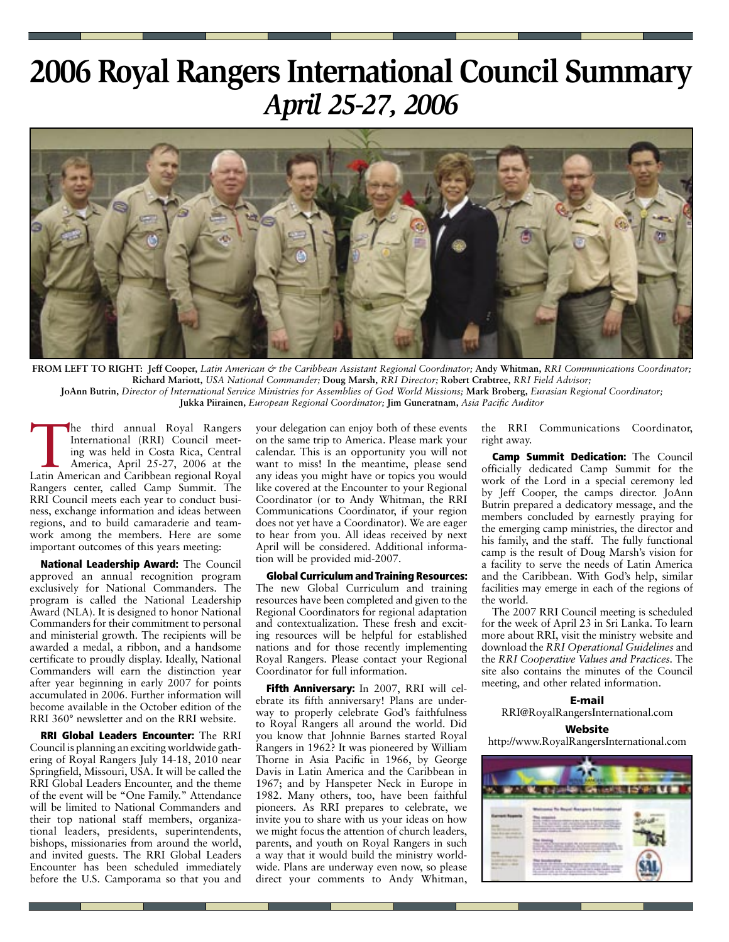## **2006 Royal Rangers International Council Summary** *April 25-27, 2006*



**FROM LEFT TO RIGHT:****Jeff Cooper,** *Latin American & the Caribbean Assistant Regional Coordinator;* **Andy Whitman,** *RRI Communications Coordinator;*  **Richard Mariott,** *USA National Commander;* **Doug Marsh,** *RRI Director;* **Robert Crabtree,** *RRI Field Advisor;*  **JoAnn Butrin,** *Director of International Service Ministries for Assemblies of God World Missions;* **Mark Broberg,** *Eurasian Regional Coordinator;*  **Jukka Piirainen,** *European Regional Coordinator;* **Jim Guneratnam,** *Asia Pacific Auditor*

The third annual Royal Rangers<br>International (RRI) Council meet-<br>ing was held in Costa Rica, Central<br>America, April 25-27, 2006 at the<br>Latin American and Caribbean regional Royal International (RRI) Council meeting was held in Costa Rica, Central America, April 25-27, 2006 at the Latin American and Caribbean regional Royal Rangers center, called Camp Summit. The RRI Council meets each year to conduct business, exchange information and ideas between regions, and to build camaraderie and teamwork among the members. Here are some important outcomes of this years meeting:

National Leadership Award: The Council approved an annual recognition program exclusively for National Commanders. The program is called the National Leadership Award (NLA). It is designed to honor National Commanders for their commitment to personal and ministerial growth. The recipients will be awarded a medal, a ribbon, and a handsome certificate to proudly display. Ideally, National Commanders will earn the distinction year after year beginning in early 2007 for points accumulated in 2006. Further information will become available in the October edition of the RRI 360° newsletter and on the RRI website.

RRI Global Leaders Encounter: The RRI Council is planning an exciting worldwide gathering of Royal Rangers July 14-18, 2010 near Springfield, Missouri, USA. It will be called the RRI Global Leaders Encounter, and the theme of the event will be "One Family." Attendance will be limited to National Commanders and their top national staff members, organizational leaders, presidents, superintendents, bishops, missionaries from around the world, and invited guests. The RRI Global Leaders Encounter has been scheduled immediately before the U.S. Camporama so that you and your delegation can enjoy both of these events on the same trip to America. Please mark your calendar. This is an opportunity you will not want to miss! In the meantime, please send any ideas you might have or topics you would like covered at the Encounter to your Regional Coordinator (or to Andy Whitman, the RRI Communications Coordinator, if your region does not yet have a Coordinator). We are eager to hear from you. All ideas received by next April will be considered. Additional information will be provided mid-2007.

Global Curriculum and Training Resources: The new Global Curriculum and training resources have been completed and given to the Regional Coordinators for regional adaptation and contextualization. These fresh and exciting resources will be helpful for established nations and for those recently implementing Royal Rangers. Please contact your Regional Coordinator for full information.

Fifth Anniversary: In 2007, RRI will celebrate its fifth anniversary! Plans are underway to properly celebrate God's faithfulness to Royal Rangers all around the world. Did you know that Johnnie Barnes started Royal Rangers in 1962? It was pioneered by William Thorne in Asia Pacific in 1966, by George Davis in Latin America and the Caribbean in 1967; and by Hanspeter Neck in Europe in 1982. Many others, too, have been faithful pioneers. As RRI prepares to celebrate, we invite you to share with us your ideas on how we might focus the attention of church leaders, parents, and youth on Royal Rangers in such a way that it would build the ministry worldwide. Plans are underway even now, so please direct your comments to Andy Whitman,

the RRI Communications Coordinator, right away.

Camp Summit Dedication: The Council officially dedicated Camp Summit for the work of the Lord in a special ceremony led by Jeff Cooper, the camps director. JoAnn Butrin prepared a dedicatory message, and the members concluded by earnestly praying for the emerging camp ministries, the director and his family, and the staff. The fully functional camp is the result of Doug Marsh's vision for a facility to serve the needs of Latin America and the Caribbean. With God's help, similar facilities may emerge in each of the regions of the world.

The 2007 RRI Council meeting is scheduled for the week of April 23 in Sri Lanka. To learn more about RRI, visit the ministry website and download the *RRI Operational Guidelines* and the *RRI Cooperative Values and Practices.* The site also contains the minutes of the Council meeting, and other related information.

E-mail RRI@RoyalRangersInternational.com

#### **Website**

http://www.RoyalRangersInternational.com